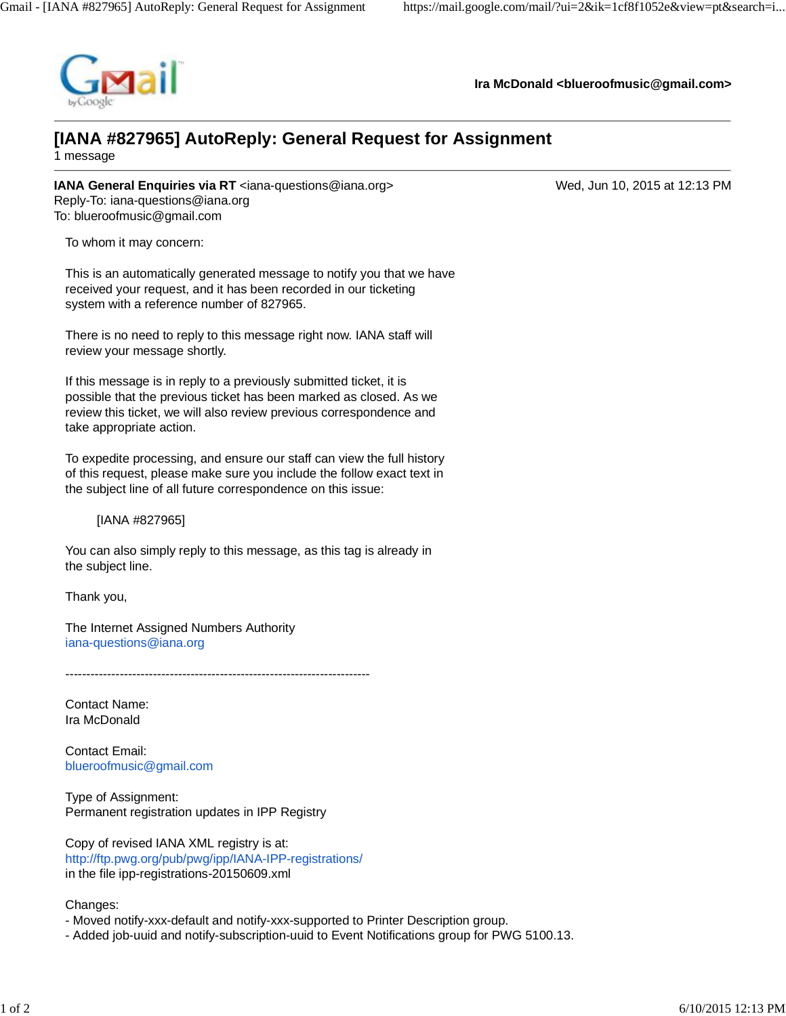

**Ira McDonald <blueroofmusic@gmail.com>**

## **[IANA #827965] AutoReply: General Request for Assignment**

1 message

**IANA General Enquiries via RT** <iana-questions@iana.org> Wed, Jun 10, 2015 at 12:13 PM Reply-To: iana-questions@iana.org To: blueroofmusic@gmail.com

To whom it may concern:

This is an automatically generated message to notify you that we have received your request, and it has been recorded in our ticketing system with a reference number of 827965.

There is no need to reply to this message right now. IANA staff will review your message shortly.

If this message is in reply to a previously submitted ticket, it is possible that the previous ticket has been marked as closed. As we review this ticket, we will also review previous correspondence and take appropriate action.

To expedite processing, and ensure our staff can view the full history of this request, please make sure you include the follow exact text in the subject line of all future correspondence on this issue:

[IANA #827965]

You can also simply reply to this message, as this tag is already in the subject line.

Thank you,

The Internet Assigned Numbers Authority iana-questions@iana.org

-------------------------------------------------------------------------

Contact Name: Ira McDonald

Contact Email: blueroofmusic@gmail.com

Type of Assignment: Permanent registration updates in IPP Registry

Copy of revised IANA XML registry is at: http://ftp.pwg.org/pub/pwg/ipp/IANA-IPP-registrations/ in the file ipp-registrations-20150609.xml

Changes:

- Moved notify-xxx-default and notify-xxx-supported to Printer Description group.
- Added job-uuid and notify-subscription-uuid to Event Notifications group for PWG 5100.13.